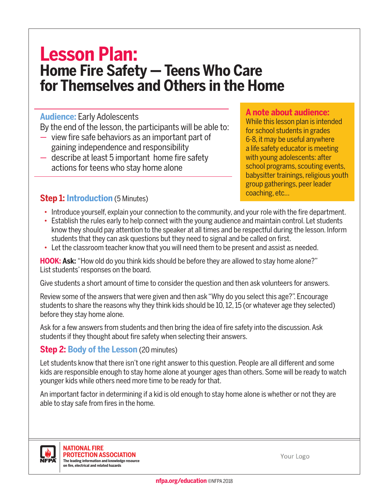# **Lesson Plan: Home Fire Safety — Teens Who Care for Themselves and Others in the Home**

#### **Audience:** Early Adolescents

By the end of the lesson, the participants will be able to:

- view fire safe behaviors as an important part of gaining independence and responsibility
- describe at least 5 important home fire safety actions for teens who stay home alone

#### **A note about audience:**

While this lesson plan is intended for school students in grades 6-8, it may be useful anywhere a life safety educator is meeting with young adolescents: after school programs, scouting events, babysitter trainings, religious youth group gatherings, peer leader coaching, etc…

# **Step 1: Introduction** (5 Minutes)

- Introduce yourself, explain your connection to the community, and your role with the fire department.
- Establish the rules early to help connect with the young audience and maintain control. Let students know they should pay attention to the speaker at all times and be respectful during the lesson. Inform students that they can ask questions but they need to signal and be called on first.
- Let the classroom teacher know that you will need them to be present and assist as needed.

**HOOK: Ask:** "How old do you think kids should be before they are allowed to stay home alone?" List students' responses on the board.

Give students a short amount of time to consider the question and then ask volunteers for answers.

Review some of the answers that were given and then ask "Why do you select this age?". Encourage students to share the reasons why they think kids should be 10, 12, 15 (or whatever age they selected) before they stay home alone.

Ask for a few answers from students and then bring the idea of fire safety into the discussion. Ask students if they thought about fire safety when selecting their answers.

# **Step 2: Body of the Lesson** (20 minutes)

Let students know that there isn't one right answer to this question. People are all different and some kids are responsible enough to stay home alone at younger ages than others. Some will be ready to watch younger kids while others need more time to be ready for that.

An important factor in determining if a kid is old enough to stay home alone is whether or not they are able to stay safe from fires in the home.



**NATIONAL FIRE PROTECTION ASSOCIATION The leading information and knowledge resource on fire, electrical and related hazards**

Your Logo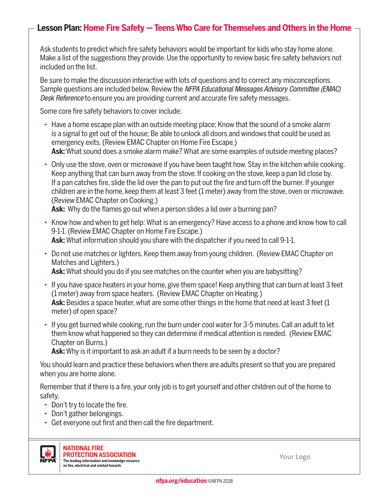### **Lesson Plan: Home Fire Safety — Teens Who Care for Themselves and Others in the Home**

Ask students to predict which fire safety behaviors would be important for kids who stay home alone. Make a list of the suggestions they provide. Use the opportunity to review basic fire safety behaviors not included on the list.

Be sure to make the discussion interactive with lots of questions and to correct any misconceptions. Sample questions are included below. Review the *NFPA Educational Messages Advisory Committee (EMAC) Desk Reference* to ensure you are providing current and accurate fire safety messages.

Some core fire safety behaviors to cover include:

- Have a home escape plan with an outside meeting place; Know that the sound of a smoke alarm is a signal to get out of the house; Be able to unlock all doors and windows that could be used as emergency exits. (Review EMAC Chapter on Home Fire Escape.)  **Ask:** What sound does a smoke alarm make? What are some examples of outside meeting places?
- Only use the stove, oven or microwave if you have been taught how. Stay in the kitchen while cooking. Keep anything that can burn away from the stove. If cooking on the stove, keep a pan lid close by. If a pan catches fire, slide the lid over the pan to put out the fire and turn off the burner. If younger children are in the home, keep them at least 3 feet (1 meter) away from the stove, oven or microwave. (Review EMAC Chapter on Cooking.)

**Ask:** Why do the flames go out when a person slides a lid over a burning pan?

- Know how and when to get help: What is an emergency? Have access to a phone and know how to call 9-1-1. (Review EMAC Chapter on Home Fire Escape.) **Ask:** What information should you share with the dispatcher if you need to call 9-1-1.
- Do not use matches or lighters. Keep them away from young children. (Review EMAC Chapter on Matches and Lighters.)

**Ask:** What should you do if you see matches on the counter when you are babysitting?

- If you have space heaters in your home, give them space! Keep anything that can burn at least 3 feet (1 meter) away from space heaters. (Review EMAC Chapter on Heating.) **Ask:** Besides a space heater, what are some other things in the home that need at least 3 feet (1 meter) of open space?
- If you get burned while cooking, run the burn under cool water for 3-5 minutes. Call an adult to let them know what happened so they can determine if medical attention is needed. (Review EMAC Chapter on Burns.)

**Ask:** Why is it important to ask an adult if a burn needs to be seen by a doctor?

You should learn and practice these behaviors when there are adults present so that you are prepared when you are home alone.

Remember that if there is a fire, your only job is to get yourself and other children out of the home to safety.

- Don't try to locate the fire.
- Don't gather belongings.
- Get everyone out first and then call the fire department.



**NATIONAL FIRE PROTECTION ASSOCIATION The leading information and knowledge resource on fire, electrical and related hazards**

Your Logo